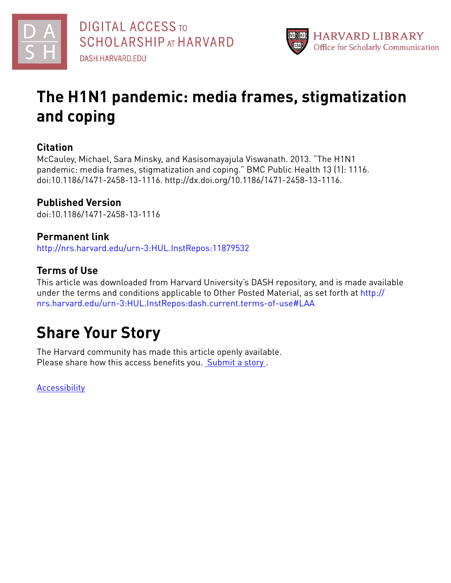



# **The H1N1 pandemic: media frames, stigmatization and coping**

# **Citation**

McCauley, Michael, Sara Minsky, and Kasisomayajula Viswanath. 2013. "The H1N1 pandemic: media frames, stigmatization and coping." BMC Public Health 13 (1): 1116. doi:10.1186/1471-2458-13-1116. http://dx.doi.org/10.1186/1471-2458-13-1116.

# **Published Version**

doi:10.1186/1471-2458-13-1116

# **Permanent link**

<http://nrs.harvard.edu/urn-3:HUL.InstRepos:11879532>

# **Terms of Use**

This article was downloaded from Harvard University's DASH repository, and is made available under the terms and conditions applicable to Other Posted Material, as set forth at [http://](http://nrs.harvard.edu/urn-3:HUL.InstRepos:dash.current.terms-of-use#LAA) [nrs.harvard.edu/urn-3:HUL.InstRepos:dash.current.terms-of-use#LAA](http://nrs.harvard.edu/urn-3:HUL.InstRepos:dash.current.terms-of-use#LAA)

# **Share Your Story**

The Harvard community has made this article openly available. Please share how this access benefits you. [Submit](http://osc.hul.harvard.edu/dash/open-access-feedback?handle=&title=The%20H1N1%20pandemic:%20media%20frames,%20stigmatization%20and%20coping&community=1/4454687&collection=1/4454688&owningCollection1/4454688&harvardAuthors=a24ec2549b3aac004f6e75d65fb144a1&department) a story .

**[Accessibility](https://dash.harvard.edu/pages/accessibility)**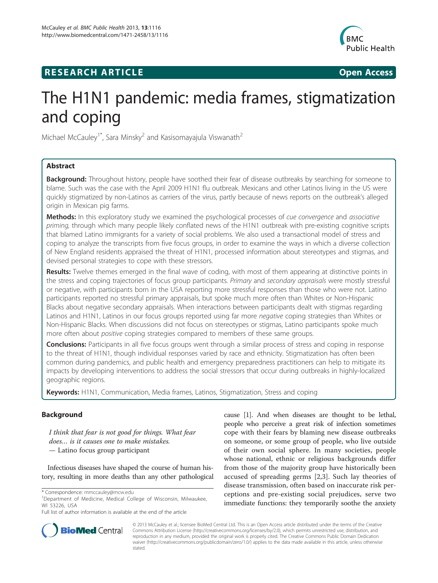# **RESEARCH ARTICLE CONSUMING A RESEARCH ARTICLE**



# The H1N1 pandemic: media frames, stigmatization and coping

Michael McCauley<sup>1\*</sup>, Sara Minsky<sup>2</sup> and Kasisomayajula Viswanath<sup>2</sup>

# Abstract

**Background:** Throughout history, people have soothed their fear of disease outbreaks by searching for someone to blame. Such was the case with the April 2009 H1N1 flu outbreak. Mexicans and other Latinos living in the US were quickly stigmatized by non-Latinos as carriers of the virus, partly because of news reports on the outbreak's alleged origin in Mexican pig farms.

Methods: In this exploratory study we examined the psychological processes of cue convergence and associative priming, through which many people likely conflated news of the H1N1 outbreak with pre-existing cognitive scripts that blamed Latino immigrants for a variety of social problems. We also used a transactional model of stress and coping to analyze the transcripts from five focus groups, in order to examine the ways in which a diverse collection of New England residents appraised the threat of H1N1, processed information about stereotypes and stigmas, and devised personal strategies to cope with these stressors.

Results: Twelve themes emerged in the final wave of coding, with most of them appearing at distinctive points in the stress and coping trajectories of focus group participants. Primary and secondary appraisals were mostly stressful or negative, with participants born in the USA reporting more stressful responses than those who were not. Latino participants reported no stressful primary appraisals, but spoke much more often than Whites or Non-Hispanic Blacks about negative secondary appraisals. When interactions between participants dealt with stigmas regarding Latinos and H1N1, Latinos in our focus groups reported using far more negative coping strategies than Whites or Non-Hispanic Blacks. When discussions did not focus on stereotypes or stigmas, Latino participants spoke much more often about positive coping strategies compared to members of these same groups.

**Conclusions:** Participants in all five focus groups went through a similar process of stress and coping in response to the threat of H1N1, though individual responses varied by race and ethnicity. Stigmatization has often been common during pandemics, and public health and emergency preparedness practitioners can help to mitigate its impacts by developing interventions to address the social stressors that occur during outbreaks in highly-localized geographic regions.

Keywords: H1N1, Communication, Media frames, Latinos, Stigmatization, Stress and coping

# Background

I think that fear is not good for things. What fear does… is it causes one to make mistakes. — Latino focus group participant

Infectious diseases have shaped the course of human history, resulting in more deaths than any other pathological

cause [\[1](#page-14-0)]. And when diseases are thought to be lethal, people who perceive a great risk of infection sometimes cope with their fears by blaming new disease outbreaks on someone, or some group of people, who live outside of their own social sphere. In many societies, people whose national, ethnic or religious backgrounds differ from those of the majority group have historically been accused of spreading germs [[2,3](#page-14-0)]. Such lay theories of disease transmission, often based on inaccurate risk perceptions and pre-existing social prejudices, serve two immediate functions: they temporarily soothe the anxiety



© 2013 McCauley et al.; licensee BioMed Central Ltd. This is an Open Access article distributed under the terms of the Creative Commons Attribution License [\(http://creativecommons.org/licenses/by/2.0\)](http://creativecommons.org/licenses/by/2.0), which permits unrestricted use, distribution, and reproduction in any medium, provided the original work is properly cited. The Creative Commons Public Domain Dedication waiver [\(http://creativecommons.org/publicdomain/zero/1.0/\)](http://creativecommons.org/publicdomain/zero/1.0/) applies to the data made available in this article, unless otherwise stated.

<sup>\*</sup> Correspondence: [mmccauley@mcw.edu](mailto:mmccauley@mcw.edu) <sup>1</sup>

Department of Medicine, Medical College of Wisconsin, Milwaukee, WI 53226, USA

Full list of author information is available at the end of the article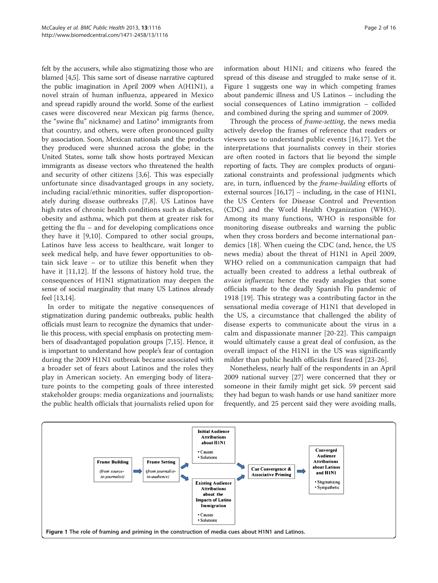<span id="page-2-0"></span>felt by the accusers, while also stigmatizing those who are blamed [\[4,5\]](#page-14-0). This same sort of disease narrative captured the public imagination in April 2009 when A(H1N1), a novel strain of human influenza, appeared in Mexico and spread rapidly around the world. Some of the earliest cases were discovered near Mexican pig farms (hence, the "swine flu" nickname) and Latino $\alpha$  immigrants from that country, and others, were often pronounced guilty by association. Soon, Mexican nationals and the products they produced were shunned across the globe; in the United States, some talk show hosts portrayed Mexican immigrants as disease vectors who threatened the health and security of other citizens [\[3,6](#page-14-0)]. This was especially unfortunate since disadvantaged groups in any society, including racial/ethnic minorities, suffer disproportionately during disease outbreaks [\[7](#page-14-0)[,8](#page-15-0)]. US Latinos have high rates of chronic health conditions such as diabetes, obesity and asthma, which put them at greater risk for getting the flu – and for developing complications once they have it [\[9](#page-15-0),[10\]](#page-15-0). Compared to other social groups, Latinos have less access to healthcare, wait longer to seek medical help, and have fewer opportunities to obtain sick leave – or to utilize this benefit when they have it [[11,12](#page-15-0)]. If the lessons of history hold true, the consequences of H1N1 stigmatization may deepen the sense of social marginality that many US Latinos already feel [\[13,14\]](#page-15-0).

In order to mitigate the negative consequences of stigmatization during pandemic outbreaks, public health officials must learn to recognize the dynamics that underlie this process, with special emphasis on protecting members of disadvantaged population groups [\[7](#page-14-0)[,15\]](#page-15-0). Hence, it is important to understand how people's fear of contagion during the 2009 H1N1 outbreak became associated with a broader set of fears about Latinos and the roles they play in American society. An emerging body of literature points to the competing goals of three interested stakeholder groups: media organizations and journalists; the public health officials that journalists relied upon for information about H1N1; and citizens who feared the spread of this disease and struggled to make sense of it. Figure 1 suggests one way in which competing frames about pandemic illness and US Latinos – including the social consequences of Latino immigration – collided and combined during the spring and summer of 2009.

Through the process of *frame-setting*, the news media actively develop the frames of reference that readers or viewers use to understand public events [[16,17](#page-15-0)]. Yet the interpretations that journalists convey in their stories are often rooted in factors that lie beyond the simple reporting of facts. They are complex products of organizational constraints and professional judgments which are, in turn, influenced by the frame-building efforts of external sources  $[16,17]$  $[16,17]$  $[16,17]$  – including, in the case of H1N1, the US Centers for Disease Control and Prevention (CDC) and the World Health Organization (WHO). Among its many functions, WHO is responsible for monitoring disease outbreaks and warning the public when they cross borders and become international pandemics [[18\]](#page-15-0). When cueing the CDC (and, hence, the US news media) about the threat of H1N1 in April 2009, WHO relied on a communication campaign that had actually been created to address a lethal outbreak of avian influenza; hence the ready analogies that some officials made to the deadly Spanish Flu pandemic of 1918 [[19](#page-15-0)]. This strategy was a contributing factor in the sensational media coverage of H1N1 that developed in the US, a circumstance that challenged the ability of disease experts to communicate about the virus in a calm and dispassionate manner [\[20](#page-15-0)-[22\]](#page-15-0). This campaign would ultimately cause a great deal of confusion, as the overall impact of the H1N1 in the US was significantly milder than public health officials first feared [[23-26](#page-15-0)].

Nonetheless, nearly half of the respondents in an April 2009 national survey [[27\]](#page-15-0) were concerned that they or someone in their family might get sick. 59 percent said they had begun to wash hands or use hand sanitizer more frequently, and 25 percent said they were avoiding malls,

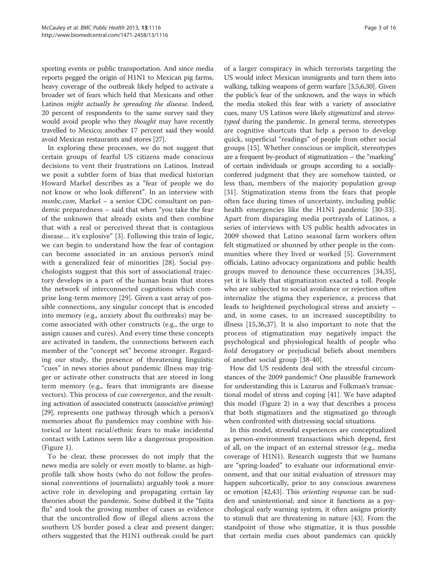sporting events or public transportation. And since media reports pegged the origin of H1N1 to Mexican pig farms, heavy coverage of the outbreak likely helped to activate a broader set of fears which held that Mexicans and other Latinos might actually be spreading the disease. Indeed, 20 percent of respondents to the same survey said they would avoid people who they *thought* may have recently travelled to Mexico; another 17 percent said they would avoid Mexican restaurants and stores [\[27\]](#page-15-0).

In exploring these processes, we do not suggest that certain groups of fearful US citizens made conscious decisions to vent their frustrations on Latinos. Instead we posit a subtler form of bias that medical historian Howard Markel describes as a "fear of people we do not know or who look different". In an interview with msnbc.com, Markel – a senior CDC consultant on pandemic preparedness – said that when "you take the fear of the unknown that already exists and then combine that with a real or perceived threat that is contagious disease… it's explosive" [[3\]](#page-14-0). Following this train of logic, we can begin to understand how the fear of contagion can become associated in an anxious person's mind with a generalized fear of minorities [[28\]](#page-15-0). Social psychologists suggest that this sort of associational trajectory develops in a part of the human brain that stores the network of interconnected cognitions which comprise long-term memory [[29\]](#page-15-0). Given a vast array of possible connections, any singular concept that is encoded into memory (e.g., anxiety about flu outbreaks) may become associated with other constructs (e.g., the urge to assign causes and cures). And every time these concepts are activated in tandem, the connections between each member of the "concept set" become stronger. Regarding our study, the presence of threatening linguistic "cues" in news stories about pandemic illness may trigger or activate other constructs that are stored in long term memory (e.g., fears that immigrants are disease vectors). This process of cue convergence, and the resulting activation of associated constructs (associative priming) [[29](#page-15-0)], represents one pathway through which a person's memories about flu pandemics may combine with historical or latent racial/ethnic fears to make incidental contact with Latinos seem like a dangerous proposition (Figure [1\)](#page-2-0).

To be clear, these processes do not imply that the news media are solely or even mostly to blame, as highprofile talk show hosts (who do not follow the professional conventions of journalists) arguably took a more active role in developing and propagating certain lay theories about the pandemic. Some dubbed it the "fajita flu" and took the growing number of cases as evidence that the uncontrolled flow of illegal aliens across the southern US border posed a clear and present danger; others suggested that the H1N1 outbreak could be part

of a larger conspiracy in which terrorists targeting the US would infect Mexican immigrants and turn them into walking, talking weapons of germ warfare [[3](#page-14-0),[5,6](#page-14-0)[,30\]](#page-15-0). Given the public's fear of the unknown, and the ways in which the media stoked this fear with a variety of associative cues, many US Latinos were likely stigmatized and stereotyped during the pandemic. In general terms, stereotypes are cognitive shortcuts that help a person to develop quick, superficial "readings" of people from other social groups [[15\]](#page-15-0). Whether conscious or implicit, stereotypes are a frequent by-product of stigmatization – the "marking" of certain individuals or groups according to a sociallyconferred judgment that they are somehow tainted, or less than, members of the majority population group [[31\]](#page-15-0). Stigmatization stems from the fears that people often face during times of uncertainty, including public health emergencies like the H1N1 pandemic [\[30-33](#page-15-0)]. Apart from disparaging media portrayals of Latinos, a series of interviews with US public health advocates in 2009 showed that Latino seasonal farm workers often felt stigmatized or shunned by other people in the communities where they lived or worked [[5\]](#page-14-0). Government officials, Latino advocacy organizations and public health groups moved to denounce these occurrences [[34,35](#page-15-0)], yet it is likely that stigmatization exacted a toll. People who are subjected to social avoidance or rejection often internalize the stigma they experience, a process that leads to heightened psychological stress and anxiety – and, in some cases, to an increased susceptibility to illness [[15,36,37](#page-15-0)]. It is also important to note that the process of stigmatization may negatively impact the psychological and physiological health of people who hold derogatory or prejudicial beliefs about members of another social group [[38-40\]](#page-15-0).

How did US residents deal with the stressful circumstances of the 2009 pandemic? One plausible framework for understanding this is Lazarus and Folkman's transactional model of stress and coping [[41\]](#page-15-0). We have adapted this model (Figure [2\)](#page-4-0) in a way that describes a process that both stigmatizers and the stigmatized go through when confronted with distressing social situations.

In this model, stressful experiences are conceptualized as person-environment transactions which depend, first of all, on the impact of an external stressor (e.g., media coverage of H1N1). Research suggests that we humans are "spring-loaded" to evaluate our informational environment, and that our initial evaluation of stressors may happen subcortically, prior to any conscious awareness or emotion [\[42,43](#page-15-0)]. This orienting response can be sudden and unintentional; and since it functions as a psychological early warning system, it often assigns priority to stimuli that are threatening in nature [[43\]](#page-15-0). From the standpoint of those who stigmatize, it is thus possible that certain media cues about pandemics can quickly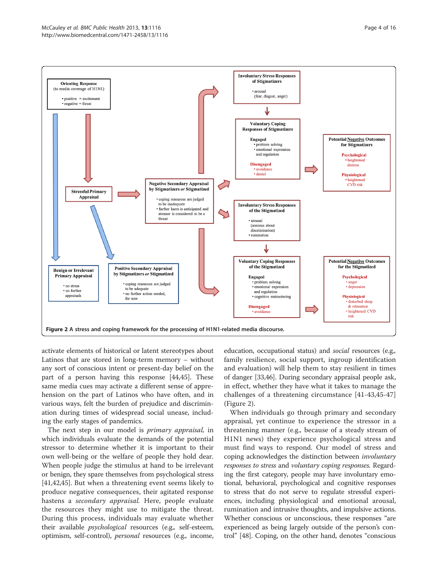<span id="page-4-0"></span>

activate elements of historical or latent stereotypes about Latinos that are stored in long-term memory – without any sort of conscious intent or present-day belief on the part of a person having this response [\[44,45](#page-15-0)]. These same media cues may activate a different sense of apprehension on the part of Latinos who have often, and in various ways, felt the burden of prejudice and discrimination during times of widespread social unease, including the early stages of pandemics.

The next step in our model is *primary appraisal*, in which individuals evaluate the demands of the potential stressor to determine whether it is important to their own well-being or the welfare of people they hold dear. When people judge the stimulus at hand to be irrelevant or benign, they spare themselves from psychological stress [[41,42,45\]](#page-15-0). But when a threatening event seems likely to produce negative consequences, their agitated response hastens a *secondary appraisal*. Here, people evaluate the resources they might use to mitigate the threat. During this process, individuals may evaluate whether their available *psychological* resources (e.g., self-esteem, optimism, self-control), personal resources (e.g., income, education, occupational status) and social resources (e.g., family resilience, social support, ingroup identification and evaluation) will help them to stay resilient in times of danger [[33,46](#page-15-0)]. During secondary appraisal people ask, in effect, whether they have what it takes to manage the challenges of a threatening circumstance [[41-43](#page-15-0),[45-47](#page-15-0)] (Figure 2).

When individuals go through primary and secondary appraisal, yet continue to experience the stressor in a threatening manner (e.g., because of a steady stream of H1N1 news) they experience psychological stress and must find ways to respond. Our model of stress and coping acknowledges the distinction between involuntary responses to stress and voluntary coping responses. Regarding the first category, people may have involuntary emotional, behavioral, psychological and cognitive responses to stress that do not serve to regulate stressful experiences, including physiological and emotional arousal, rumination and intrusive thoughts, and impulsive actions. Whether conscious or unconscious, these responses "are experienced as being largely outside of the person's control" [[48\]](#page-15-0). Coping, on the other hand, denotes "conscious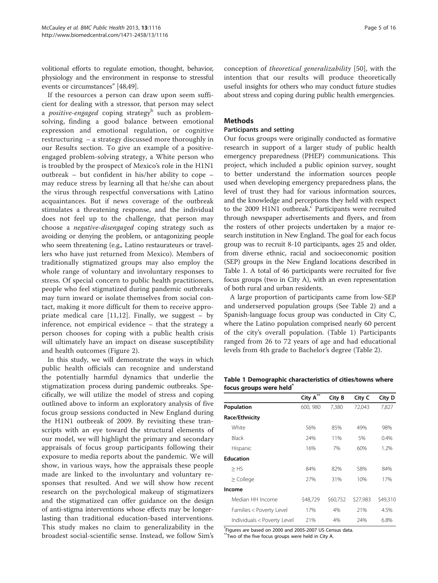volitional efforts to regulate emotion, thought, behavior, physiology and the environment in response to stressful events or circumstances" [[48](#page-15-0),[49](#page-15-0)].

If the resources a person can draw upon seem sufficient for dealing with a stressor, that person may select a *positive-engaged* coping strategy<sup>b</sup> such as problemsolving, finding a good balance between emotional expression and emotional regulation, or cognitive restructuring – a strategy discussed more thoroughly in our Results section. To give an example of a positiveengaged problem-solving strategy, a White person who is troubled by the prospect of Mexico's role in the H1N1 outbreak – but confident in his/her ability to cope – may reduce stress by learning all that he/she can about the virus through respectful conversations with Latino acquaintances. But if news coverage of the outbreak stimulates a threatening response, and the individual does not feel up to the challenge, that person may choose a negative-disengaged coping strategy such as avoiding or denying the problem, or antagonizing people who seem threatening (e.g., Latino restaurateurs or travellers who have just returned from Mexico). Members of traditionally stigmatized groups may also employ the whole range of voluntary and involuntary responses to stress. Of special concern to public health practitioners, people who feel stigmatized during pandemic outbreaks may turn inward or isolate themselves from social contact, making it more difficult for them to receive appropriate medical care  $[11,12]$  $[11,12]$ . Finally, we suggest – by inference, not empirical evidence – that the strategy a person chooses for coping with a public health crisis will ultimately have an impact on disease susceptibility and health outcomes (Figure [2](#page-4-0)).

In this study, we will demonstrate the ways in which public health officials can recognize and understand the potentially harmful dynamics that underlie the stigmatization process during pandemic outbreaks. Specifically, we will utilize the model of stress and coping outlined above to inform an exploratory analysis of five focus group sessions conducted in New England during the H1N1 outbreak of 2009. By revisiting these transcripts with an eye toward the structural elements of our model, we will highlight the primary and secondary appraisals of focus group participants following their exposure to media reports about the pandemic. We will show, in various ways, how the appraisals these people made are linked to the involuntary and voluntary responses that resulted. And we will show how recent research on the psychological makeup of stigmatizers and the stigmatized can offer guidance on the design of anti-stigma interventions whose effects may be longerlasting than traditional education-based interventions. This study makes no claim to generalizability in the broadest social-scientific sense. Instead, we follow Sim's

conception of theoretical generalizability [\[50](#page-15-0)], with the intention that our results will produce theoretically useful insights for others who may conduct future studies about stress and coping during public health emergencies.

## Methods

## Participants and setting

Our focus groups were originally conducted as formative research in support of a larger study of public health emergency preparedness (PHEP) communications. This project, which included a public opinion survey, sought to better understand the information sources people used when developing emergency preparedness plans, the level of trust they had for various information sources, and the knowledge and perceptions they held with respect to the 2009 H1N1 outbreak. $c$  Participants were recruited through newspaper advertisements and flyers, and from the rosters of other projects undertaken by a major research institution in New England. The goal for each focus group was to recruit 8-10 participants, ages 25 and older, from diverse ethnic, racial and socioeconomic position (SEP) groups in the New England locations described in Table 1. A total of 46 participants were recruited for five focus groups (two in City A), with an even representation of both rural and urban residents.

A large proportion of participants came from low-SEP and underserved population groups (See Table [2](#page-6-0)) and a Spanish-language focus group was conducted in City C, where the Latino population comprised nearly 60 percent of the city's overall population. (Table 1) Participants ranged from 26 to 72 years of age and had educational levels from 4th grade to Bachelor's degree (Table [2](#page-6-0)).

Table 1 Demographic characteristics of cities/towns where focus groups were held<sup>\*</sup>

|                             | City A   | City B   | City C   | City D   |
|-----------------------------|----------|----------|----------|----------|
| Population                  | 600, 980 | 7,380    | 72,043   | 7,827    |
| Race/Ethnicity              |          |          |          |          |
| White                       | 56%      | 85%      | 49%      | 98%      |
| <b>Black</b>                | 24%      | 11%      | 5%       | 0.4%     |
| Hispanic                    | 16%      | 7%       | 60%      | 1.2%     |
| <b>Education</b>            |          |          |          |          |
| $>$ HS                      | 84%      | 82%      | 58%      | 84%      |
| $\geq$ College              | 27%      | 31%      | 10%      | 17%      |
| Income                      |          |          |          |          |
| Median HH Income            | \$48,729 | \$60,752 | \$27,983 | \$49,310 |
| Families < Poverty Level    | 17%      | 4%       | 21%      | 4.5%     |
| Individuals < Poverty Level | 21%      | 4%       | 24%      | 6.8%     |

\* Figures are based on 2000 and 2005-2007 US Census data.

\*\*Two of the five focus groups were held in City A.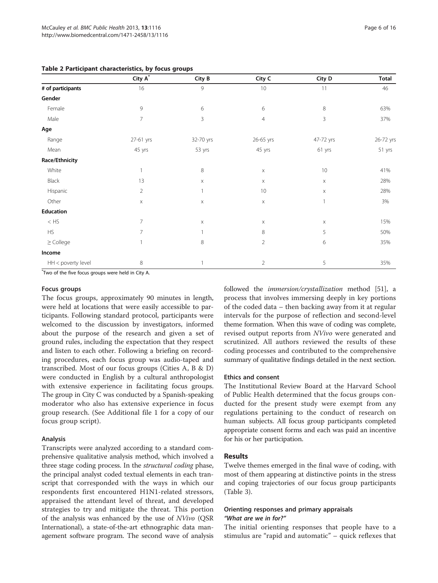|                    | City $A^*$     | City B    | City C         | City D                    | <b>Total</b> |
|--------------------|----------------|-----------|----------------|---------------------------|--------------|
|                    |                |           |                |                           |              |
| # of participants  | 16             | 9         | 10             | 11                        | 46           |
| Gender             |                |           |                |                           |              |
| Female             | 9              | 6         | 6              | 8                         | 63%          |
| Male               | $\overline{7}$ | 3         | $\overline{4}$ | 3                         | 37%          |
| Age                |                |           |                |                           |              |
| Range              | 27-61 yrs      | 32-70 yrs | 26-65 yrs      | 47-72 yrs                 | 26-72 yrs    |
| Mean               | 45 yrs         | 53 yrs    | 45 yrs         | 61 yrs                    | 51 yrs       |
| Race/Ethnicity     |                |           |                |                           |              |
| White              | 1              | 8         | X              | 10                        | 41%          |
| Black              | 13             | X         | $\mathsf X$    | X                         | 28%          |
| Hispanic           | $\overline{2}$ | 1         | 10             | $\boldsymbol{\mathsf{X}}$ | 28%          |
| Other              | $\mathsf X$    | X         | $\mathsf X$    | $\mathbf{1}$              | 3%           |
| Education          |                |           |                |                           |              |
| $<\mathsf{HS}$     | $\overline{7}$ | X         | X              | X                         | 15%          |
| <b>HS</b>          | 7              | 1         | 8              | 5                         | 50%          |
| $\geq$ College     |                | 8         | $\overline{2}$ | 6                         | 35%          |
| Income             |                |           |                |                           |              |
| HH < poverty level | 8              |           | $\overline{2}$ | 5                         | 35%          |

<span id="page-6-0"></span>Table 2 Participant characteristics, by focus groups

\* Two of the five focus groups were held in City A.

#### Focus groups

The focus groups, approximately 90 minutes in length, were held at locations that were easily accessible to participants. Following standard protocol, participants were welcomed to the discussion by investigators, informed about the purpose of the research and given a set of ground rules, including the expectation that they respect and listen to each other. Following a briefing on recording procedures, each focus group was audio-taped and transcribed. Most of our focus groups (Cities A, B & D) were conducted in English by a cultural anthropologist with extensive experience in facilitating focus groups. The group in City C was conducted by a Spanish-speaking moderator who also has extensive experience in focus group research. (See Additional file [1](#page-14-0) for a copy of our focus group script).

#### Analysis

Transcripts were analyzed according to a standard comprehensive qualitative analysis method, which involved a three stage coding process. In the structural coding phase, the principal analyst coded textual elements in each transcript that corresponded with the ways in which our respondents first encountered H1N1-related stressors, appraised the attendant level of threat, and developed strategies to try and mitigate the threat. This portion of the analysis was enhanced by the use of NVivo (QSR International), a state-of-the-art ethnographic data management software program. The second wave of analysis followed the immersion/crystallization method [\[51\]](#page-15-0), a process that involves immersing deeply in key portions of the coded data – then backing away from it at regular intervals for the purpose of reflection and second-level theme formation. When this wave of coding was complete, revised output reports from NVivo were generated and scrutinized. All authors reviewed the results of these coding processes and contributed to the comprehensive summary of qualitative findings detailed in the next section.

#### Ethics and consent

The Institutional Review Board at the Harvard School of Public Health determined that the focus groups conducted for the present study were exempt from any regulations pertaining to the conduct of research on human subjects. All focus group participants completed appropriate consent forms and each was paid an incentive for his or her participation.

#### Results

Twelve themes emerged in the final wave of coding, with most of them appearing at distinctive points in the stress and coping trajectories of our focus group participants (Table [3\)](#page-7-0).

## Orienting responses and primary appraisals "What are we in for?"

The initial orienting responses that people have to a stimulus are "rapid and automatic" – quick reflexes that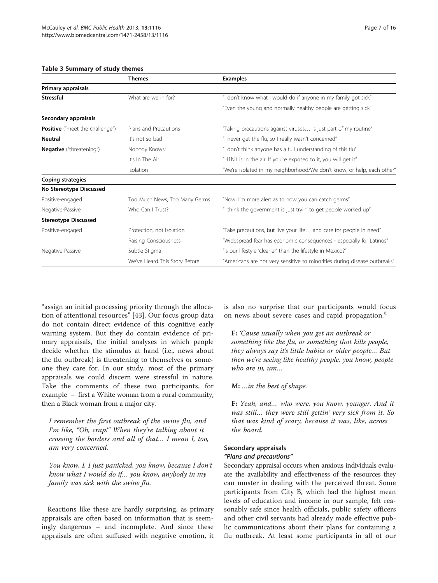#### <span id="page-7-0"></span>Table 3 Summary of study themes

|                                        | <b>Themes</b>                 | <b>Examples</b>                                                           |  |
|----------------------------------------|-------------------------------|---------------------------------------------------------------------------|--|
| Primary appraisals                     |                               |                                                                           |  |
| Stressful                              | What are we in for?           | "I don't know what I would do if anyone in my family got sick"            |  |
|                                        |                               | "Even the young and normally healthy people are getting sick"             |  |
| Secondary appraisals                   |                               |                                                                           |  |
| <b>Positive</b> ("meet the challenge") | Plans and Precautions         | "Taking precautions against viruses is just part of my routine"           |  |
| Neutral                                | It's not so bad               | "I never get the flu, so I really wasn't concerned"                       |  |
| Negative ("threatening")               | Nobody Knows"                 | "I don't think anyone has a full understanding of this flu"               |  |
|                                        | It's In The Air               | "H1N1 is in the air. If you're exposed to it, you will get it"            |  |
|                                        | Isolation                     | "We're isolated in my neighborhood/We don't know, or help, each other"    |  |
| Coping strategies                      |                               |                                                                           |  |
| No Stereotype Discussed                |                               |                                                                           |  |
| Positive-engaged                       | Too Much News, Too Many Germs | "Now, I'm more alert as to how you can catch germs"                       |  |
| Negative-Passive                       | Who Can I Trust?              | "I think the government is just tryin' to get people worked up"           |  |
| <b>Stereotype Discussed</b>            |                               |                                                                           |  |
| Positive-engaged                       | Protection, not Isolation     | "Take precautions, but live your life and care for people in need"        |  |
|                                        | Raising Consciousness         | "Widespread fear has economic consequences - especially for Latinos"      |  |
| Negative-Passive                       | Subtle Stigma                 | "Is our lifestyle 'cleaner' than the lifestyle in Mexico?"                |  |
|                                        | We've Heard This Story Before | "Americans are not very sensitive to minorities during disease outbreaks" |  |

"assign an initial processing priority through the allocation of attentional resources" [\[43](#page-15-0)]. Our focus group data do not contain direct evidence of this cognitive early warning system. But they do contain evidence of primary appraisals, the initial analyses in which people decide whether the stimulus at hand (i.e., news about the flu outbreak) is threatening to themselves or someone they care for. In our study, most of the primary appraisals we could discern were stressful in nature. Take the comments of these two participants, for example – first a White woman from a rural community, then a Black woman from a major city.

I remember the first outbreak of the swine flu, and I'm like, "Oh, crap!" When they're talking about it crossing the borders and all of that… I mean I, too, am very concerned.

You know, I, I just panicked, you know, because I don't know what I would do if… you know, anybody in my family was sick with the swine flu.

Reactions like these are hardly surprising, as primary appraisals are often based on information that is seemingly dangerous – and incomplete. And since these appraisals are often suffused with negative emotion, it is also no surprise that our participants would focus on news about severe cases and rapid propagation.<sup>d</sup>

F: 'Cause usually when you get an outbreak or something like the flu, or something that kills people, they always say it's little babies or older people… But then we're seeing like healthy people, you know, people who are in, um…

## M: …in the best of shape.

F: Yeah, and… who were, you know, younger. And it was still… they were still gettin' very sick from it. So that was kind of scary, because it was, like, across the board.

# Secondary appraisals

#### "Plans and precautions"

Secondary appraisal occurs when anxious individuals evaluate the availability and effectiveness of the resources they can muster in dealing with the perceived threat. Some participants from City B, which had the highest mean levels of education and income in our sample, felt reasonably safe since health officials, public safety officers and other civil servants had already made effective public communications about their plans for containing a flu outbreak. At least some participants in all of our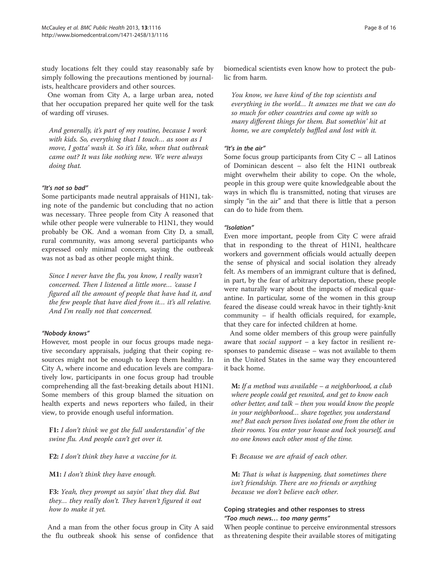study locations felt they could stay reasonably safe by simply following the precautions mentioned by journalists, healthcare providers and other sources.

One woman from City A, a large urban area, noted that her occupation prepared her quite well for the task of warding off viruses.

And generally, it's part of my routine, because I work with kids. So, everything that I touch… as soon as I move, I gotta' wash it. So it's like, when that outbreak came out? It was like nothing new. We were always doing that.

#### "It's not so bad"

Some participants made neutral appraisals of H1N1, taking note of the pandemic but concluding that no action was necessary. Three people from City A reasoned that while other people were vulnerable to H1N1, they would probably be OK. And a woman from City D, a small, rural community, was among several participants who expressed only minimal concern, saying the outbreak was not as bad as other people might think.

Since I never have the flu, you know, I really wasn't concerned. Then I listened a little more… 'cause I figured all the amount of people that have had it, and the few people that have died from it… it's all relative. And I'm really not that concerned.

#### "Nobody knows"

However, most people in our focus groups made negative secondary appraisals, judging that their coping resources might not be enough to keep them healthy. In City A, where income and education levels are comparatively low, participants in one focus group had trouble comprehending all the fast-breaking details about H1N1. Some members of this group blamed the situation on health experts and news reporters who failed, in their view, to provide enough useful information.

F1: I don't think we got the full understandin' of the swine flu. And people can't get over it.

F2: I don't think they have a vaccine for it.

M1: I don't think they have enough.

F3: Yeah, they prompt us sayin' that they did. But they… they really don't. They haven't figured it out how to make it yet.

And a man from the other focus group in City A said the flu outbreak shook his sense of confidence that

biomedical scientists even know how to protect the public from harm.

You know, we have kind of the top scientists and everything in the world… It amazes me that we can do so much for other countries and come up with so many different things for them. But somethin' hit at home, we are completely baffled and lost with it.

## "It's in the air"

Some focus group participants from City  $C$  – all Latinos of Dominican descent – also felt the H1N1 outbreak might overwhelm their ability to cope. On the whole, people in this group were quite knowledgeable about the ways in which flu is transmitted, noting that viruses are simply "in the air" and that there is little that a person can do to hide from them.

#### "Isolation"

Even more important, people from City C were afraid that in responding to the threat of H1N1, healthcare workers and government officials would actually deepen the sense of physical and social isolation they already felt. As members of an immigrant culture that is defined, in part, by the fear of arbitrary deportation, these people were naturally wary about the impacts of medical quarantine. In particular, some of the women in this group feared the disease could wreak havoc in their tightly-knit community – if health officials required, for example, that they care for infected children at home.

And some older members of this group were painfully aware that social support - a key factor in resilient responses to pandemic disease – was not available to them in the United States in the same way they encountered it back home.

M: If a method was available – a neighborhood, a club where people could get reunited, and get to know each other better, and talk – then you would know the people in your neighborhood… share together, you understand me? But each person lives isolated one from the other in their rooms. You enter your house and lock yourself, and no one knows each other most of the time.

F: Because we are afraid of each other.

M: That is what is happening, that sometimes there isn't friendship. There are no friends or anything because we don't believe each other.

### Coping strategies and other responses to stress "Too much news… too many germs"

When people continue to perceive environmental stressors as threatening despite their available stores of mitigating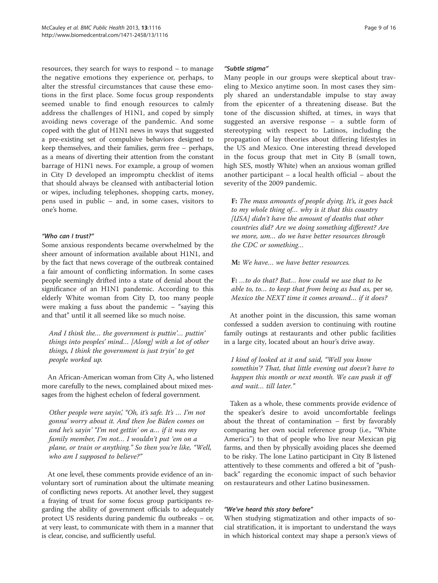resources, they search for ways to respond – to manage the negative emotions they experience or, perhaps, to alter the stressful circumstances that cause these emotions in the first place. Some focus group respondents seemed unable to find enough resources to calmly address the challenges of H1N1, and coped by simply avoiding news coverage of the pandemic. And some coped with the glut of H1N1 news in ways that suggested a pre-existing set of compulsive behaviors designed to keep themselves, and their families, germ free – perhaps, as a means of diverting their attention from the constant barrage of H1N1 news. For example, a group of women in City D developed an impromptu checklist of items that should always be cleansed with antibacterial lotion or wipes, including telephones, shopping carts, money, pens used in public – and, in some cases, visitors to one's home.

#### "Who can I trust?"

Some anxious respondents became overwhelmed by the sheer amount of information available about H1N1, and by the fact that news coverage of the outbreak contained a fair amount of conflicting information. In some cases people seemingly drifted into a state of denial about the significance of an H1N1 pandemic. According to this elderly White woman from City D, too many people were making a fuss about the pandemic – "saying this and that" until it all seemed like so much noise.

And I think the… the government is puttin'… puttin' things into peoples' mind… [Along] with a lot of other things, I think the government is just tryin' to get people worked up.

An African-American woman from City A, who listened more carefully to the news, complained about mixed messages from the highest echelon of federal government.

Other people were sayin', "Oh, it's safe. It's … I'm not gonna' worry about it. And then Joe Biden comes on and he's sayin' "I'm not gettin' on a… if it was my family member, I'm not… I wouldn't put 'em on a plane, or train or anything." So then you're like, "Well, who am I supposed to believe?"

At one level, these comments provide evidence of an involuntary sort of rumination about the ultimate meaning of conflicting news reports. At another level, they suggest a fraying of trust for some focus group participants regarding the ability of government officials to adequately protect US residents during pandemic flu outbreaks – or, at very least, to communicate with them in a manner that is clear, concise, and sufficiently useful.

#### "Subtle stigma"

Many people in our groups were skeptical about traveling to Mexico anytime soon. In most cases they simply shared an understandable impulse to stay away from the epicenter of a threatening disease. But the tone of the discussion shifted, at times, in ways that suggested an aversive response – a subtle form of stereotyping with respect to Latinos, including the propagation of lay theories about differing lifestyles in the US and Mexico. One interesting thread developed in the focus group that met in City B (small town, high SES, mostly White) when an anxious woman grilled another participant – a local health official – about the severity of the 2009 pandemic.

F: The mass amounts of people dying. It's, it goes back to my whole thing of… why is it that this country [USA] didn't have the amount of deaths that other countries did? Are we doing something different? Are we more, um… do we have better resources through the CDC or something…

M: We have… we have better resources.

F: …to do that? But… how could we use that to be able to, to… to keep that from being as bad as, per se, Mexico the NEXT time it comes around… if it does?

At another point in the discussion, this same woman confessed a sudden aversion to continuing with routine family outings at restaurants and other public facilities in a large city, located about an hour's drive away.

I kind of looked at it and said, "Well you know somethin'? That, that little evening out doesn't have to happen this month or next month. We can push it off and wait… till later."

Taken as a whole, these comments provide evidence of the speaker's desire to avoid uncomfortable feelings about the threat of contamination – first by favorably comparing her own social reference group (i.e., "White America") to that of people who live near Mexican pig farms, and then by physically avoiding places she deemed to be risky. The lone Latino participant in City B listened attentively to these comments and offered a bit of "pushback" regarding the economic impact of such behavior on restaurateurs and other Latino businessmen.

#### "We've heard this story before"

When studying stigmatization and other impacts of social stratification, it is important to understand the ways in which historical context may shape a person's views of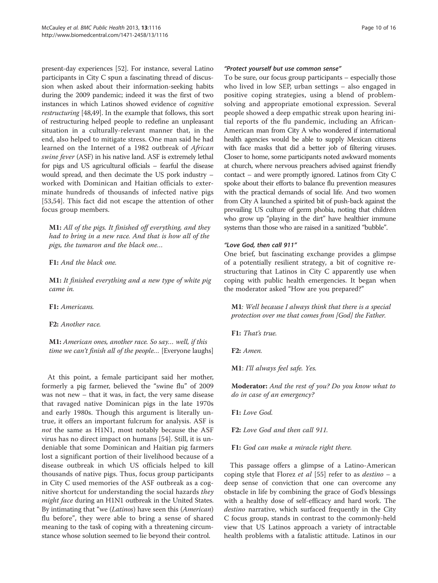present-day experiences [[52](#page-15-0)]. For instance, several Latino participants in City C spun a fascinating thread of discussion when asked about their information-seeking habits during the 2009 pandemic; indeed it was the first of two instances in which Latinos showed evidence of cognitive restructuring [[48,49\]](#page-15-0). In the example that follows, this sort of restructuring helped people to redefine an unpleasant situation in a culturally-relevant manner that, in the end, also helped to mitigate stress. One man said he had learned on the Internet of a 1982 outbreak of African swine fever (ASF) in his native land. ASF is extremely lethal for pigs and US agricultural officials – fearful the disease would spread, and then decimate the US pork industry – worked with Dominican and Haitian officials to exterminate hundreds of thousands of infected native pigs [[53,54](#page-15-0)]. This fact did not escape the attention of other focus group members.

M1: All of the pigs. It finished off everything, and they had to bring in a new race. And that is how all of the pigs, the tumaron and the black one…

#### F1: And the black one.

M1: It finished everything and a new type of white pig came in.

F1: Americans.

F2: Another race.

M1: American ones, another race. So say… well, if this time we can't finish all of the people… [Everyone laughs]

At this point, a female participant said her mother, formerly a pig farmer, believed the "swine flu" of 2009 was not new – that it was, in fact, the very same disease that ravaged native Dominican pigs in the late 1970s and early 1980s. Though this argument is literally untrue, it offers an important fulcrum for analysis. ASF is not the same as H1N1, most notably because the ASF virus has no direct impact on humans [\[54](#page-15-0)]. Still, it is undeniable that some Dominican and Haitian pig farmers lost a significant portion of their livelihood because of a disease outbreak in which US officials helped to kill thousands of native pigs. Thus, focus group participants in City C used memories of the ASF outbreak as a cognitive shortcut for understanding the social hazards they might face during an H1N1 outbreak in the United States. By intimating that "we (Latinos) have seen this (American) flu before", they were able to bring a sense of shared meaning to the task of coping with a threatening circumstance whose solution seemed to lie beyond their control.

#### "Protect yourself but use common sense"

To be sure, our focus group participants – especially those who lived in low SEP, urban settings – also engaged in positive coping strategies, using a blend of problemsolving and appropriate emotional expression. Several people showed a deep empathic streak upon hearing initial reports of the flu pandemic, including an African-American man from City A who wondered if international health agencies would be able to supply Mexican citizens with face masks that did a better job of filtering viruses. Closer to home, some participants noted awkward moments at church, where nervous preachers advised against friendly contact – and were promptly ignored. Latinos from City C spoke about their efforts to balance flu prevention measures with the practical demands of social life. And two women from City A launched a spirited bit of push-back against the prevailing US culture of germ phobia, noting that children who grow up "playing in the dirt" have healthier immune systems than those who are raised in a sanitized "bubble".

#### "Love God, then call 911"

One brief, but fascinating exchange provides a glimpse of a potentially resilient strategy, a bit of cognitive restructuring that Latinos in City C apparently use when coping with public health emergencies. It began when the moderator asked "How are you prepared?"

M1: Well because I always think that there is a special protection over me that comes from [God] the Father.

F1: That's true.

F2: Amen.

M1: I'll always feel safe. Yes.

Moderator: And the rest of you? Do you know what to do in case of an emergency?

F1: Love God.

F2: Love God and then call 911.

F1: God can make a miracle right there.

This passage offers a glimpse of a Latino-American coping style that Florez et al [[55](#page-15-0)] refer to as  $destino - a$ deep sense of conviction that one can overcome any obstacle in life by combining the grace of God's blessings with a healthy dose of self-efficacy and hard work. The destino narrative, which surfaced frequently in the City C focus group, stands in contrast to the commonly-held view that US Latinos approach a variety of intractable health problems with a fatalistic attitude. Latinos in our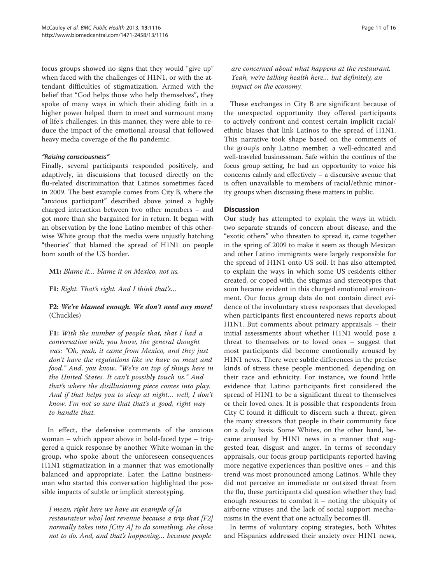focus groups showed no signs that they would "give up" when faced with the challenges of H1N1, or with the attendant difficulties of stigmatization. Armed with the belief that "God helps those who help themselves", they spoke of many ways in which their abiding faith in a higher power helped them to meet and surmount many of life's challenges. In this manner, they were able to reduce the impact of the emotional arousal that followed heavy media coverage of the flu pandemic.

#### "Raising consciousness"

Finally, several participants responded positively, and adaptively, in discussions that focused directly on the flu-related discrimination that Latinos sometimes faced in 2009. The best example comes from City B, where the "anxious participant" described above joined a highly charged interaction between two other members – and got more than she bargained for in return. It began with an observation by the lone Latino member of this otherwise White group that the media were unjustly hatching "theories" that blamed the spread of H1N1 on people born south of the US border.

M1: Blame it… blame it on Mexico, not us.

F1: Right. That's right. And I think that's…

# F2: We're blamed enough. We don't need any more! (Chuckles)

F1: With the number of people that, that I had a conversation with, you know, the general thought was: "Oh, yeah, it came from Mexico, and they just don't have the regulations like we have on meat and food." And, you know, "We're on top of things here in the United States. It can't possibly touch us." And that's where the disillusioning piece comes into play. And if that helps you to sleep at night… well, I don't know. I'm not so sure that that's a good, right way to handle that.

In effect, the defensive comments of the anxious woman – which appear above in bold-faced type – triggered a quick response by another White woman in the group, who spoke about the unforeseen consequences H1N1 stigmatization in a manner that was emotionally balanced and appropriate. Later, the Latino businessman who started this conversation highlighted the possible impacts of subtle or implicit stereotyping.

I mean, right here we have an example of [a restaurateur who] lost revenue because a trip that [F2] normally takes into [City A] to do something, she chose not to do. And, and that's happening… because people

are concerned about what happens at the restaurant. Yeah, we're talking health here… but definitely, an impact on the economy.

These exchanges in City B are significant because of the unexpected opportunity they offered participants to actively confront and contest certain implicit racial/ ethnic biases that link Latinos to the spread of H1N1. This narrative took shape based on the comments of the group's only Latino member, a well-educated and well-traveled businessman. Safe within the confines of the focus group setting, he had an opportunity to voice his concerns calmly and effectively – a discursive avenue that is often unavailable to members of racial/ethnic minority groups when discussing these matters in public.

#### **Discussion**

Our study has attempted to explain the ways in which two separate strands of concern about disease, and the "exotic others" who threaten to spread it, came together in the spring of 2009 to make it seem as though Mexican and other Latino immigrants were largely responsible for the spread of H1N1 onto US soil. It has also attempted to explain the ways in which some US residents either created, or coped with, the stigmas and stereotypes that soon became evident in this charged emotional environment. Our focus group data do not contain direct evidence of the involuntary stress responses that developed when participants first encountered news reports about H1N1. But comments about primary appraisals – their initial assessments about whether H1N1 would pose a threat to themselves or to loved ones – suggest that most participants did become emotionally aroused by H1N1 news. There were subtle differences in the precise kinds of stress these people mentioned, depending on their race and ethnicity. For instance, we found little evidence that Latino participants first considered the spread of H1N1 to be a significant threat to themselves or their loved ones. It is possible that respondents from City C found it difficult to discern such a threat, given the many stressors that people in their community face on a daily basis. Some Whites, on the other hand, became aroused by H1N1 news in a manner that suggested fear, disgust and anger. In terms of secondary appraisals, our focus group participants reported having more negative experiences than positive ones – and this trend was most pronounced among Latinos. While they did not perceive an immediate or outsized threat from the flu, these participants did question whether they had enough resources to combat it – noting the ubiquity of airborne viruses and the lack of social support mechanisms in the event that one actually becomes ill.

In terms of voluntary coping strategies, both Whites and Hispanics addressed their anxiety over H1N1 news,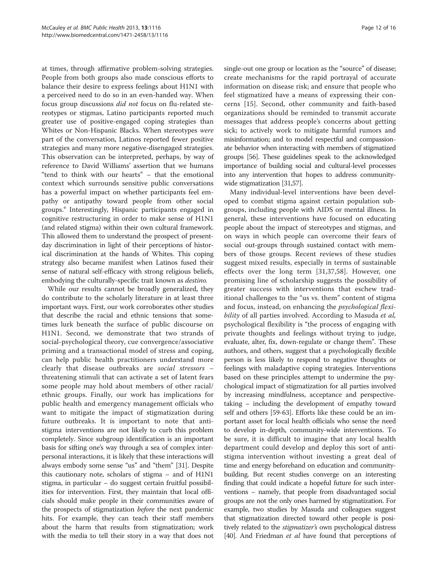at times, through affirmative problem-solving strategies. People from both groups also made conscious efforts to balance their desire to express feelings about H1N1 with a perceived need to do so in an even-handed way. When focus group discussions did not focus on flu-related stereotypes or stigmas, Latino participants reported much greater use of positive-engaged coping strategies than Whites or Non-Hispanic Blacks. When stereotypes were part of the conversation, Latinos reported fewer positive strategies and many more negative-disengaged strategies. This observation can be interpreted, perhaps, by way of reference to David Williams' assertion that we humans "tend to think with our hearts" – that the emotional context which surrounds sensitive public conversations has a powerful impact on whether participants feel empathy or antipathy toward people from other social groups.<sup>e</sup> Interestingly, Hispanic participants engaged in cognitive restructuring in order to make sense of H1N1 (and related stigma) within their own cultural framework. This allowed them to understand the prospect of presentday discrimination in light of their perceptions of historical discrimination at the hands of Whites. This coping strategy also became manifest when Latinos fused their sense of natural self-efficacy with strong religious beliefs, embodying the culturally-specific trait known as destino.

While our results cannot be broadly generalized, they do contribute to the scholarly literature in at least three important ways. First, our work corroborates other studies that describe the racial and ethnic tensions that sometimes lurk beneath the surface of public discourse on H1N1. Second, we demonstrate that two strands of social-psychological theory, cue convergence/associative priming and a transactional model of stress and coping, can help public health practitioners understand more clearly that disease outbreaks are social stressors – threatening stimuli that can activate a set of latent fears some people may hold about members of other racial/ ethnic groups. Finally, our work has implications for public health and emergency management officials who want to mitigate the impact of stigmatization during future outbreaks. It is important to note that antistigma interventions are not likely to curb this problem completely. Since subgroup identification is an important basis for sifting one's way through a sea of complex interpersonal interactions, it is likely that these interactions will always embody some sense "us" and "them" [\[31\]](#page-15-0). Despite this cautionary note, scholars of stigma – and of H1N1 stigma, in particular – do suggest certain fruitful possibilities for intervention. First, they maintain that local officials should make people in their communities aware of the prospects of stigmatization before the next pandemic hits. For example, they can teach their staff members about the harm that results from stigmatization; work with the media to tell their story in a way that does not

single-out one group or location as the "source" of disease; create mechanisms for the rapid portrayal of accurate information on disease risk; and ensure that people who feel stigmatized have a means of expressing their concerns [[15](#page-15-0)]. Second, other community and faith-based organizations should be reminded to transmit accurate messages that address people's concerns about getting sick; to actively work to mitigate harmful rumors and misinformation; and to model respectful and compassionate behavior when interacting with members of stigmatized groups [[56](#page-16-0)]. These guidelines speak to the acknowledged importance of building social and cultural-level processes into any intervention that hopes to address communitywide stigmatization [\[31,](#page-15-0)[57](#page-16-0)].

Many individual-level interventions have been developed to combat stigma against certain population subgroups, including people with AIDS or mental illness. In general, these interventions have focused on educating people about the impact of stereotypes and stigmas, and on ways in which people can overcome their fears of social out-groups through sustained contact with members of those groups. Recent reviews of these studies suggest mixed results, especially in terms of sustainable effects over the long term [[31,37](#page-15-0),[58\]](#page-16-0). However, one promising line of scholarship suggests the possibility of greater success with interventions that eschew traditional challenges to the "us vs. them" content of stigma and focus, instead, on enhancing the psychological flexibility of all parties involved. According to Masuda et al, psychological flexibility is "the process of engaging with private thoughts and feelings without trying to judge, evaluate, alter, fix, down-regulate or change them". These authors, and others, suggest that a psychologically flexible person is less likely to respond to negative thoughts or feelings with maladaptive coping strategies. Interventions based on these principles attempt to undermine the psychological impact of stigmatization for all parties involved by increasing mindfulness, acceptance and perspectivetaking – including the development of empathy toward self and others [[59](#page-16-0)-[63\]](#page-16-0). Efforts like these could be an important asset for local health officials who sense the need to develop in-depth, community-wide interventions. To be sure, it is difficult to imagine that any local health department could develop and deploy this sort of antistigma intervention without investing a great deal of time and energy beforehand on education and communitybuilding. But recent studies converge on an interesting finding that could indicate a hopeful future for such interventions – namely, that people from disadvantaged social groups are not the only ones harmed by stigmatization. For example, two studies by Masuda and colleagues suggest that stigmatization directed toward other people is positively related to the *stigmatizer's* own psychological distress [[40](#page-15-0)]. And Friedman *et al* have found that perceptions of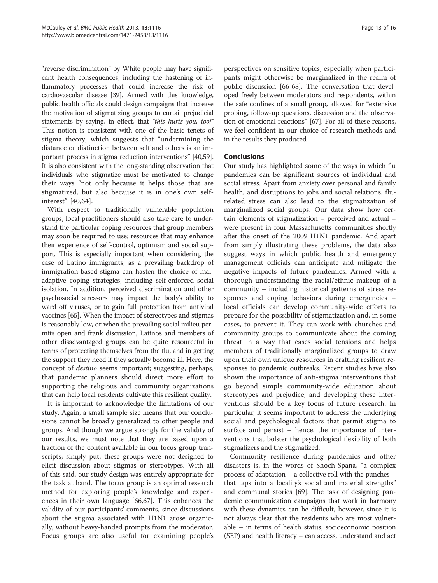"reverse discrimination" by White people may have significant health consequences, including the hastening of inflammatory processes that could increase the risk of cardiovascular disease [\[39](#page-15-0)]. Armed with this knowledge, public health officials could design campaigns that increase the motivation of stigmatizing groups to curtail prejudicial statements by saying, in effect, that "this hurts you, too!" This notion is consistent with one of the basic tenets of stigma theory, which suggests that "undermining the distance or distinction between self and others is an important process in stigma reduction interventions" [[40](#page-15-0)[,59](#page-16-0)]. It is also consistent with the long-standing observation that individuals who stigmatize must be motivated to change their ways "not only because it helps those that are stigmatized, but also because it is in one's own selfinterest" [[40,](#page-15-0)[64\]](#page-16-0).

With respect to traditionally vulnerable population groups, local practitioners should also take care to understand the particular coping resources that group members may soon be required to use; resources that may enhance their experience of self-control, optimism and social support. This is especially important when considering the case of Latino immigrants, as a prevailing backdrop of immigration-based stigma can hasten the choice of maladaptive coping strategies, including self-enforced social isolation. In addition, perceived discrimination and other psychosocial stressors may impact the body's ability to ward off viruses, or to gain full protection from antiviral vaccines [[65](#page-16-0)]. When the impact of stereotypes and stigmas is reasonably low, or when the prevailing social milieu permits open and frank discussion, Latinos and members of other disadvantaged groups can be quite resourceful in terms of protecting themselves from the flu, and in getting the support they need if they actually become ill. Here, the concept of destino seems important; suggesting, perhaps, that pandemic planners should direct more effort to supporting the religious and community organizations that can help local residents cultivate this resilient quality.

It is important to acknowledge the limitations of our study. Again, a small sample size means that our conclusions cannot be broadly generalized to other people and groups. And though we argue strongly for the validity of our results, we must note that they are based upon a fraction of the content available in our focus group transcripts; simply put, these groups were not designed to elicit discussion about stigmas or stereotypes. With all of this said, our study design was entirely appropriate for the task at hand. The focus group is an optimal research method for exploring people's knowledge and experiences in their own language [[66,67\]](#page-16-0). This enhances the validity of our participants' comments, since discussions about the stigma associated with H1N1 arose organically, without heavy-handed prompts from the moderator. Focus groups are also useful for examining people's

perspectives on sensitive topics, especially when participants might otherwise be marginalized in the realm of public discussion [[66](#page-16-0)-[68](#page-16-0)]. The conversation that developed freely between moderators and respondents, within the safe confines of a small group, allowed for "extensive probing, follow-up questions, discussion and the observation of emotional reactions" [\[67\]](#page-16-0). For all of these reasons, we feel confident in our choice of research methods and in the results they produced.

## Conclusions

Our study has highlighted some of the ways in which flu pandemics can be significant sources of individual and social stress. Apart from anxiety over personal and family health, and disruptions to jobs and social relations, flurelated stress can also lead to the stigmatization of marginalized social groups. Our data show how certain elements of stigmatization – perceived and actual – were present in four Massachusetts communities shortly after the onset of the 2009 H1N1 pandemic. And apart from simply illustrating these problems, the data also suggest ways in which public health and emergency management officials can anticipate and mitigate the negative impacts of future pandemics. Armed with a thorough understanding the racial/ethnic makeup of a community – including historical patterns of stress responses and coping behaviors during emergencies – local officials can develop community-wide efforts to prepare for the possibility of stigmatization and, in some cases, to prevent it. They can work with churches and community groups to communicate about the coming threat in a way that eases social tensions and helps members of traditionally marginalized groups to draw upon their own unique resources in crafting resilient responses to pandemic outbreaks. Recent studies have also shown the importance of anti-stigma interventions that go beyond simple community-wide education about stereotypes and prejudice, and developing these interventions should be a key focus of future research. In particular, it seems important to address the underlying social and psychological factors that permit stigma to surface and persist – hence, the importance of interventions that bolster the psychological flexibility of both stigmatizers and the stigmatized.

Community resilience during pandemics and other disasters is, in the words of Shoch-Spana, "a complex process of adaptation – a collective roll with the punches – that taps into a locality's social and material strengths" and communal stories [\[69\]](#page-16-0). The task of designing pandemic communication campaigns that work in harmony with these dynamics can be difficult, however, since it is not always clear that the residents who are most vulnerable – in terms of health status, socioeconomic position (SEP) and health literacy – can access, understand and act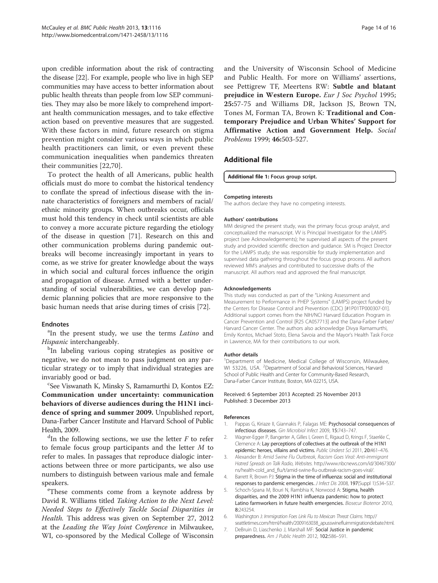<span id="page-14-0"></span>upon credible information about the risk of contracting the disease [\[22\]](#page-15-0). For example, people who live in high SEP communities may have access to better information about public health threats than people from low SEP communities. They may also be more likely to comprehend important health communication messages, and to take effective action based on preventive measures that are suggested. With these factors in mind, future research on stigma prevention might consider various ways in which public health practitioners can limit, or even prevent these communication inequalities when pandemics threaten their communities [[22,](#page-15-0)[70](#page-16-0)].

To protect the health of all Americans, public health officials must do more to combat the historical tendency to conflate the spread of infectious disease with the innate characteristics of foreigners and members of racial/ ethnic minority groups. When outbreaks occur, officials must hold this tendency in check until scientists are able to convey a more accurate picture regarding the etiology of the disease in question [[71\]](#page-16-0). Research on this and other communication problems during pandemic outbreaks will become increasingly important in years to come, as we strive for greater knowledge about the ways in which social and cultural forces influence the origin and propagation of disease. Armed with a better understanding of social vulnerabilities, we can develop pandemic planning policies that are more responsive to the basic human needs that arise during times of crisis [\[72\]](#page-16-0).

#### Endnotes

<sup>a</sup>In the present study, we use the terms *Latino* and Hispanic interchangeably.

<sup>b</sup>In labeling various coping strategies as positive or negative, we do not mean to pass judgment on any particular strategy or to imply that individual strategies are invariably good or bad.

See Viswanath K, Minsky S, Ramamurthi D, Kontos EZ: Communication under uncertainty: communication behaviors of diverse audiences during the H1N1 incidence of spring and summer 2009. Unpublished report, Dana-Farber Cancer Institute and Harvard School of Public Health, 2009.

 $d$ In the following sections, we use the letter  $F$  to refer to female focus group participants and the letter M to refer to males. In passages that reproduce dialogic interactions between three or more participants, we also use numbers to distinguish between various male and female speakers.

These comments come from a keynote address by David R. Williams titled Taking Action to the Next Level: Needed Steps to Effectively Tackle Social Disparities in Health. This address was given on September 27, 2012 at the Leading the Way Joint Conference in Milwaukee, WI, co-sponsored by the Medical College of Wisconsin

and the University of Wisconsin School of Medicine and Public Health. For more on Williams' assertions, see Pettigrew TF, Meertens RW: Subtle and blatant prejudice in Western Europe. Eur J Soc Psychol 1995; 25:57-75 and Williams DR, Jackson JS, Brown TN, Tones M, Forman TA, Brown K: Traditional and Contemporary Prejudice and Urban Whites' Support for Affirmative Action and Government Help. Social Problems 1999; 46:503-527.

## Additional file

#### [Additional file 1:](http://www.biomedcentral.com/content/supplementary/1471-2458-13-1116-S1.pdf) Focus group script.

#### Competing interests

The authors declare they have no competing interests.

#### Authors' contributions

MM designed the present study, was the primary focus group analyst, and conceptualized the manuscript. VV is Principal Investigator for the LAMPS project (see Acknowledgements); he supervised all aspects of the present study and provided scientific direction and guidance. SM is Project Director for the LAMPS study; she was responsible for study implementation and supervised data gathering throughout the focus group process. All authors reviewed MM's analyses and contributed to successive drafts of the manuscript. All authors read and approved the final manuscript.

#### Acknowledgements

This study was conducted as part of the "Linking Assessment and Measurement to Performance in PHEP Systems" (LAMPS) project funded by the Centers for Disease Control and Prevention (CDC) [#1P01TP000307-01]. Additional support comes from the NIH/NCI Harvard Education Program in Cancer Prevention and Control [R25 CA057713] and the Dana-Farber Farber/ Harvard Cancer Center. The authors also acknowledge Divya Ramamurthi, Emily Kontos, Michael Stoto, Elena Savoia and the Mayor's Health Task Force in Lawrence, MA for their contributions to our work.

#### Author details

<sup>1</sup>Department of Medicine, Medical College of Wisconsin, Milwaukee, WI 53226, USA. <sup>2</sup>Department of Social and Behavioral Sciences, Harvard School of Public Health and Center for Community-Based Research, Dana-Farber Cancer Institute, Boston, MA 02215, USA.

#### Received: 6 September 2013 Accepted: 25 November 2013 Published: 3 December 2013

#### References

- 1. Pappas G, Kiriaze II, Giannakis P, Falagas ME: Psychosocial consequences of infectious diseases. Gin Microbiol Infect 2009, 15:743–747.
- 2. Wagner-Egger P, Bangerter A, Gilles I, Green E, Rigaud D, Krings F, Staerkle C, Clemence A: Lay perceptions of collectives at the outbreak of the H1N1 epidemic: heroes, villains and victims. Public Underst Sci 2011, 20:461–476.
- 3. Alexander B: Amid Swine Flu Outbreak, Racism Goes Viral: Anti-immigrant Hatred Spreads on Talk Radio, Websites. [http://www.nbcnews.com/id/30467300/](http://www.nbcnews.com/id/30467300/ns/health-cold_and_flu/t/amid-swine-flu-outbreak-racism-goes-viral/) [ns/health-cold\\_and\\_flu/t/amid-swine-flu-outbreak-racism-goes-viral/.](http://www.nbcnews.com/id/30467300/ns/health-cold_and_flu/t/amid-swine-flu-outbreak-racism-goes-viral/)
- 4. Barrett R, Brown PJ: Stigma in the time of influenza: social and institutional responses to pandemic emergencies. J Infect Dis 2008, 197(Suppl 1):S34–S37.
- 5. Schoch-Spana M, Bouri N, Rambhia K, Norwood A: Stigma, health disparities, and the 2009 H1N1 influenza pandemic: how to protect Latino farmworkers in future health emergencies. Biosecur Bioterror 2010, 8:243254.
- 6. Washington J: Immigration Foes Link Flu to Mexican Threat Claims. [http://](http://seattletimes.com/html/health/2009163038_apusswinefluimmigrationdebate.html) [seattletimes.com/html/health/2009163038\\_apusswinefluimmigrationdebate.html](http://seattletimes.com/html/health/2009163038_apusswinefluimmigrationdebate.html)
- 7. DeBruin D, Liaschenko J, Marshall MF: Social Justice in pandemic preparedness. Am J Public Health 2012, 102:586–591.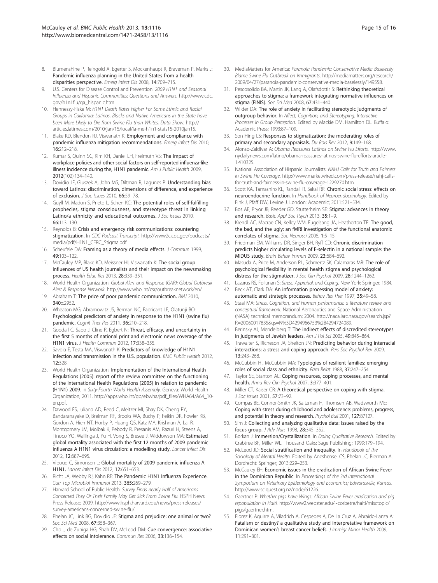- <span id="page-15-0"></span>8. Blumenshine P, Reingold A, Egerter S, Mockenhaupt R, Braveman P, Marks J: Pandemic influenza planning in the United States from a health disparities perspective. Emerg Infect Dis 2008, 14:709–715.
- U.S. Centers for Disease Control and Prevention: 2009 H1N1 and Seasonal Influenza and Hispanic Communities: Questions and Answers. [http://www.cdc.](http://www.cdc.gov/h1n1flu/qa_hispanic.htm) [gov/h1n1flu/qa\\_hispanic.htm.](http://www.cdc.gov/h1n1flu/qa_hispanic.htm)
- 10. Hennessy-Fiske M: H1N1 Death Rates Higher For Some Ethnic and Racial Groups in California: Latinos, Blacks and Native Americans in the State have been More Likely to Die from Swine Flu than Whites, Data Show. [http://](http://articles.latimes.com/2010/jan/15/local/la-me-h1n1-stats15-2010jan15) [articles.latimes.com/2010/jan/15/local/la-me-h1n1-stats15-2010jan15.](http://articles.latimes.com/2010/jan/15/local/la-me-h1n1-stats15-2010jan15)
- 11. Blake KD, Blendon RJ, Viswanath K: Employment and compliance with pandemic influenza mitigation recommendations. Emerg Infect Dis 2010, 16:212–218.
- 12. Kumar S, Quinn SC, Kim KH, Daniel LH, Freimuth VS: The impact of workplace policies and other social factors on self-reported influenza-like illness incidence during the, H1N1 pandemic. Am J Public Health 2009, 2012(102):134–140.
- 13. Dovidio JF, Gluszek A, John MS, Diltman R, Lagunes P: Understanding bias toward Latinos: discrimination, dimensions of difference, and experience of exclusion. J Soc Issues 2010, 66:59–78.
- 14. Guyll M, Madon S, Prieto L, Schen KC: The potential roles of self-fulfilling prophecies, stigma consciousness, and stereotype threat in linking Latino/a ethnicity and educational outcomes. J Soc Issues 2010, 66:113–130.
- 15. Reynolds B: Crisis and emergency risk communications: countering stigmatization. In CDC Podcast Transcript. [http://www2c.cdc.gov/podcasts/](http://www2c.cdc.gov/podcasts/media/pdf/H1N1_CERC_Stigma.pdf) [media/pdf/H1N1\\_CERC\\_Stigma.pdf](http://www2c.cdc.gov/podcasts/media/pdf/H1N1_CERC_Stigma.pdf).
- 16. Scheufele DA: Framing as a theory of media effects. J Commun 1999, 49:103–122.
- 17. McCauley MP, Blake KD, Meissner HI, Viswanath K: The social group influences of US health journalists and their impact on the newsmaking process. Health Educ Res 2013, 28:339–351.
- 18. World Health Organization: Global Alert and Response (GAR): Global Outbreak Alert & Response Network. [http://www.who.int/csr/outbreaknetwork/en/.](http://www.who.int/csr/outbreaknetwork/en/)
- 19. Abraham T: The price of poor pandemic communication. BMJ 2010, 340:c2952.
- 20. Wheaton MG, Abramowitz JS, Berman NC, Fabricant LE, Olatunji BO: Psychological predictors of anxiety in response to the H1N1 (swine flu) pandemic. Cognit Ther Res 2011, 36:210-218.
- 21. Goodall C, Sabo J, Cline R, Egbert N: Threat, efficacy, and uncertainty in the first 5 months of national print and electronic news coverage of the H1N1 virus. J Health Commun 2012, 17:338–355.
- 22. Savoia E, Testa MA, Viswanath K: Predictors of knowledge of H1N1 infection and transmission in the U.S. population. BMC Public Health 2012, 12:328.
- 23. World Health Organization: Implementation of the International Health Regulations (2005): report of the review committee on the functioning of the International Health Regulations (2005) in relation to pandemic (H1N1) 2009. In Sixty-Fourth World Health Assembly. Geneva: World Health Organization; 2011. [http://apps.who.int/gb/ebwha/pdf\\_files/WHA64/A64\\_10](http://apps.who.int/gb/ebwha/pdf_files/WHA64/A64_10-en.pdf) [en.pdf.](http://apps.who.int/gb/ebwha/pdf_files/WHA64/A64_10-en.pdf)
- 24. Dawood FS, Iuliano AD, Reed C, Meltzer MI, Shay DK, Cheng PY, Bandaranayake D, Breiman RF, Brooks WA, Buchy P, Feikin DR, Fowler KB, Gordon A, Hien NT, Horby P, Huang QS, Katz MA, Krishnan A, Lal R, Montgomery JM, Molbak K, Pebody R, Presanis AM, Razuri H, Steens A, Tinoco YO, Wallinga J, Yu H, Vong S, Bresee J, Widdowson MA: Estimated global mortality associated with the first 12 months of 2009 pandemic influenza A H1N1 virus circulation: a modelling study. Lancet Infect Dis 2012, 12:687–695.
- 25. Viboud C, Simonsen L: Global mortality of 2009 pandemic influenza A H1N1. Lancet Infect Dis 2012, 12:651–653.
- 26. Richt JA, Webby RJ, Kahn RE: The Pandemic H1N1 Influenza Experience. Curr Top Microbiol Immunol 2013, 365:269–279.
- 27. Harvard School of Public Health: Survey Finds nearly Half of Americans Concerned They Or Their Family May Get Sick From Swine Flu. HSPH News Press Release; 2009. [http://www.hsph.harvard.edu/news/press-releases/](http://www.hsph.harvard.edu/news/press-releases/survey-americans-concerned-swine-flu/) [survey-americans-concerned-swine-flu/.](http://www.hsph.harvard.edu/news/press-releases/survey-americans-concerned-swine-flu/)
- 28. Phelan JC, Link BG, Dovidio JF: Stigma and prejudice: one animal or two? Soc Sci Med 2008, 67:358–367.
- 29. Cho J, de Zuniga HG, Shah DV, McLeod DM: Cue convergence: associative effects on social intolerance. Commun Res 2006, 33:136–154.
- 30. MediaMatters for America: Paranoia Pandemic: Conservative Media Baselessly Blame Swine Flu Outbreak on Immigrants. [http://mediamatters.org/research/](http://mediamatters.org/research/2009/04/27/paranoia-pandemic-conservative-media-baselessly/149558) [2009/04/27/paranoia-pandemic-conservative-media-baselessly/149558.](http://mediamatters.org/research/2009/04/27/paranoia-pandemic-conservative-media-baselessly/149558)
- 31. Pescosolido BA, Martin JK, Lang A, Olafsdottir S: Rethinking theoretical approaches to stigma: a framework integrating normative influences on stigma (FINIS). Soc Sci Med 2008, 67:431–440.
- 32. Wilder DA: The role of anxiety in facilitating stereotypic judgments of outgroup behavior. In Affect, Cognition, and Stereotyping: Interactive Processes in Group Perception. Edited by Mackie DM, Hamilton DL. Buffalo: Academic Press; 1993:87–109.
- 33. Son Hing LS: Responses to stigmatization: the moderating roles of primary and secondary appraisals. Du Bois Rev 2012, 9:149-168.
- 34. Alonso-Zaldivar A: Obama Reassures Latinos on Swine Flu Efforts. [http://www.](http://www.nydailynews.com/latino/obama-reassures-latinos-swine-flu-efforts-article-1.410325) [nydailynews.com/latino/obama-reassures-latinos-swine-flu-efforts-article-](http://www.nydailynews.com/latino/obama-reassures-latinos-swine-flu-efforts-article-1.410325)[1.410325.](http://www.nydailynews.com/latino/obama-reassures-latinos-swine-flu-efforts-article-1.410325)
- 35. National Association of Hispanic Journalists: NAHJ Calls for Truth and Fairness in Swine Flu Coverage. [http://www.marketwired.com/press-release/nahj-calls](http://www.marketwired.com/press-release/nahj-calls-for-truth-and-fairness-in-swine-flu-coverage-1229270.htm)[for-truth-and-fairness-in-swine-flu-coverage-1229270.htm](http://www.marketwired.com/press-release/nahj-calls-for-truth-and-fairness-in-swine-flu-coverage-1229270.htm).
- 36. Scott KA, Tamashiro KL, Randall R, Sakai RR: Chronic social stress: effects on neuroendocrine function. In Handbook of Neuroendocrinology. Edited by Fink J, Pfaff DW, Levine J. London: Academic; 2011:521–534.
- Bos AE, Pryor JB, Reeder GD, Stutterheim SE: Stigma: advances in theory and research. Basic Appl Soc Psych 2013, 35:1-9.
- 38. Krendl AC, Macrae CN, Kelley WM, Fugelsang JA, Heatherton TF: The good, the bad, and the ugly: an fMRI investigation of the functional anatomic correlates of stigma. Soc Neurosci 2006, 1:5–15.
- 39. Friedman EM, Williams DR, Singer BH, Ryff CD: Chronic discrimination predicts higher circulating levels of E-selectin in a national sample: the MIDUS study. Brain Behav Immun 2009, 23:684–692.
- 40. Masuda A, Price M, Anderson PL, Schmertz SK, Calamaras MR: The role of psychological flexibility in mental health stigma and psychological distress for the stigmatizer. J Soc Gin Psychol 2009, 28:1244-1262.
- 41. Lazarus RS, Follunan S: Stress, Appraisal, and Coping. New York: Springer; 1984.
- 42. Beck AT, Clark DA: An information processing model of anxiety: automatic and strategic processes. Behav Res Ther 1997, 35:49–58.
- 43. Staal MA: Stress, Cognition, and Human performance: a literature review and conceptual framework. National Aeronautics and Space Administration (NASA) technical memorandum; 2004. [http://naca.larc.nasa.gov/search.jsp?](http://naca.larc.nasa.gov/search.jsp?R=20060017835&qs=N%3D4294966753%2B4294724089) [R=20060017835&qs=N%3D4294966753%2B4294724089.](http://naca.larc.nasa.gov/search.jsp?R=20060017835&qs=N%3D4294966753%2B4294724089)
- 44. Berinsky AJ, Mendelberg T: The indirect effects of discredited stereotypes in judgments of Jewish leaders. Am J Pol Sci 2005, 49:845–864.
- 45. Trawalter S, Richeson JA, Shelton JN: Predicting behavior during interracial interactions: a stress and coping approach. Pers Soc Psychol Rev 2009, 13:243–268.
- 46. McCubbin HI, McCubbin MA: Typologies of resilient families: emerging roles of social class and ethnicity. Fam Relat 1988, 37:247–254.
- Taylor SE, Stanton AL: Coping resources, coping processes, and mental health. Annu Rev Clin Psychol 2007, 3:377–401.
- 48. Miller CT, Kaiser CR: A theoretical perspective on coping with stigma. J Soc Issues 2001, 57:73–92.
- 49. Compas BE, Connor-Smith JK, Saltzman H, Thomsen AB, Wadsworth ME: Coping with stress during childhood and adolescence: problems, progress, and potential in theory and research. Psychol Bull 2001, 127:87127.
- Sim J: Collecting and analyzing qualitative data: issues raised by the focus group. J Adv Nurs 1998, 28:345–352.
- 51. Borkan J: Immersion/Crystallization. In Doing Qualitative Research. Edited by Crabtree BF, Miller WL. Thousand Oaks: Sage Publishing; 1999:179–194.
- 52. McLeod JD: Social stratification and inequality. In Handbook of the Sociology of Mental Health. Edited by Aneshensel CS, Phelan JC, Bierman A. Dordrecht: Springer; 2013:229–253.
- 53. McCauley EH: Economic issues in the eradication of African Swine Fever in the Dominican Republic. In Proceedings of the 3rd International Symposium on Veterinary Epidemiology and Economics; Edwardsville, Kansas. [http://www.sciquest.org.nz/node/61226.](http://www.sciquest.org.nz/node/61226)
- 54. Gaertner P: Whether pigs have Wings: African Swine Fever eradication and pig repopulation in Haiti. [http://www2.webster.edu/~corbetre/haiti/misctopic/](http://www2.webster.edu/~corbetre/haiti/misctopic/pigs/gaertner.htm) [pigs/gaertner.htm.](http://www2.webster.edu/~corbetre/haiti/misctopic/pigs/gaertner.htm)
- Florez K, Aguirre A, Viladrich A, Cespedes A, De La Cruz A, Abraido-Lanza A: Fatalism or destiny? a qualitative study and interpretative framework on Dominican women's breast cancer beliefs. J Immigr Minor Health 2009, 11:291–301.